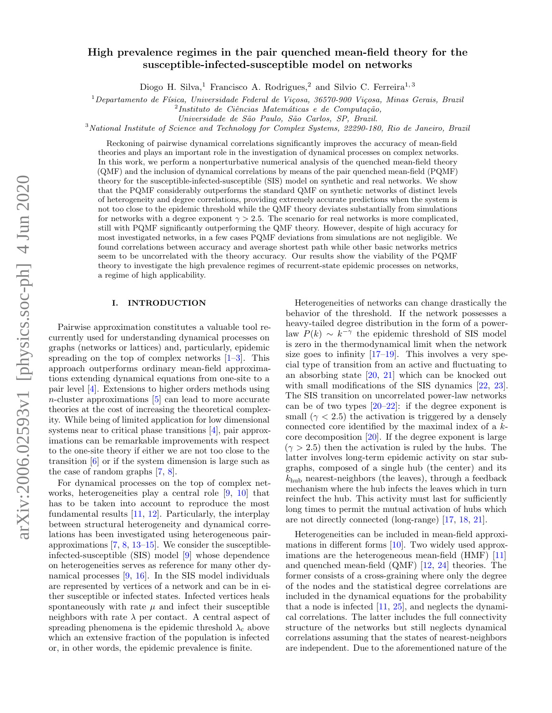# High prevalence regimes in the pair quenched mean-field theory for the susceptible-infected-susceptible model on networks

Diogo H. Silva,<sup>1</sup> Francisco A. Rodrigues,<sup>2</sup> and Silvio C. Ferreira<sup>1,3</sup>

 $1$ Departamento de Física, Universidade Federal de Viçosa, 36570-900 Viçosa, Minas Gerais, Brazil

 $^{2}$ Instituto de Ciências Matemáticas e de Computação,

Universidade de São Paulo, São Carlos, SP, Brazil.

<sup>3</sup>National Institute of Science and Technology for Complex Systems, 22290-180, Rio de Janeiro, Brazil

Reckoning of pairwise dynamical correlations significantly improves the accuracy of mean-field theories and plays an important role in the investigation of dynamical processes on complex networks. In this work, we perform a nonperturbative numerical analysis of the quenched mean-field theory (QMF) and the inclusion of dynamical correlations by means of the pair quenched mean-field (PQMF) theory for the susceptible-infected-susceptible (SIS) model on synthetic and real networks. We show that the PQMF considerably outperforms the standard QMF on synthetic networks of distinct levels of heterogeneity and degree correlations, providing extremely accurate predictions when the system is not too close to the epidemic threshold while the QMF theory deviates substantially from simulations for networks with a degree exponent  $\gamma > 2.5$ . The scenario for real networks is more complicated, still with PQMF significantly outperforming the QMF theory. However, despite of high accuracy for most investigated networks, in a few cases PQMF deviations from simulations are not negligible. We found correlations between accuracy and average shortest path while other basic networks metrics seem to be uncorrelated with the theory accuracy. Our results show the viability of the PQMF theory to investigate the high prevalence regimes of recurrent-state epidemic processes on networks, a regime of high applicability.

## I. INTRODUCTION

Pairwise approximation constitutes a valuable tool recurrently used for understanding dynamical processes on graphs (networks or lattices) and, particularly, epidemic spreading on the top of complex networks  $[1-3]$  $[1-3]$ . This approach outperforms ordinary mean-field approximations extending dynamical equations from one-site to a pair level [\[4\]](#page-7-2). Extensions to higher orders methods using  $n$ -cluster approximations  $[5]$  can lead to more accurate theories at the cost of increasing the theoretical complexity. While being of limited application for low dimensional systems near to critical phase transitions [\[4\]](#page-7-2), pair approximations can be remarkable improvements with respect to the one-site theory if either we are not too close to the transition [\[6\]](#page-7-4) or if the system dimension is large such as the case of random graphs [\[7,](#page-7-5) [8\]](#page-7-6).

For dynamical processes on the top of complex networks, heterogeneities play a central role [\[9,](#page-7-7) [10\]](#page-7-8) that has to be taken into account to reproduce the most fundamental results [\[11,](#page-7-9) [12\]](#page-7-10). Particularly, the interplay between structural heterogeneity and dynamical correlations has been investigated using heterogeneous pairapproximations [\[7,](#page-7-5) [8,](#page-7-6) [13](#page-7-11)[–15\]](#page-7-12). We consider the susceptibleinfected-susceptible (SIS) model [\[9\]](#page-7-7) whose dependence on heterogeneities serves as reference for many other dynamical processes [\[9,](#page-7-7) [16\]](#page-7-13). In the SIS model individuals are represented by vertices of a network and can be in either susceptible or infected states. Infected vertices heals spontaneously with rate  $\mu$  and infect their susceptible neighbors with rate  $\lambda$  per contact. A central aspect of spreading phenomena is the epidemic threshold  $\lambda_c$  above which an extensive fraction of the population is infected or, in other words, the epidemic prevalence is finite.

Heterogeneities of networks can change drastically the behavior of the threshold. If the network possesses a heavy-tailed degree distribution in the form of a powerlaw  $P(k) \sim k^{-\gamma}$  the epidemic threshold of SIS model is zero in the thermodynamical limit when the network size goes to infinity  $[17-19]$  $[17-19]$ . This involves a very special type of transition from an active and fluctuating to an absorbing state [\[20,](#page-8-1) [21\]](#page-8-2) which can be knocked out with small modifications of the SIS dynamics  $[22, 23]$  $[22, 23]$  $[22, 23]$ . The SIS transition on uncorrelated power-law networks can be of two types  $[20-22]$  $[20-22]$ : if the degree exponent is small  $(\gamma < 2.5)$  the activation is triggered by a densely connected core identified by the maximal index of a kcore decomposition [\[20\]](#page-8-1). If the degree exponent is large  $(\gamma > 2.5)$  then the activation is ruled by the hubs. The latter involves long-term epidemic activity on star subgraphs, composed of a single hub (the center) and its  $k_{\text{hub}}$  nearest-neighbors (the leaves), through a feedback mechanism where the hub infects the leaves which in turn reinfect the hub. This activity must last for sufficiently long times to permit the mutual activation of hubs which are not directly connected (long-range) [\[17,](#page-7-14) [18,](#page-7-15) [21\]](#page-8-2).

Heterogeneities can be included in mean-field approximations in different forms [\[10\]](#page-7-8). Two widely used approximations are the heterogeneous mean-field (HMF) [\[11\]](#page-7-9) and quenched mean-field (QMF) [\[12,](#page-7-10) [24\]](#page-8-5) theories. The former consists of a cross-graining where only the degree of the nodes and the statistical degree correlations are included in the dynamical equations for the probability that a node is infected [\[11,](#page-7-9) [25\]](#page-8-6), and neglects the dynamical correlations. The latter includes the full connectivity structure of the networks but still neglects dynamical correlations assuming that the states of nearest-neighbors are independent. Due to the aforementioned nature of the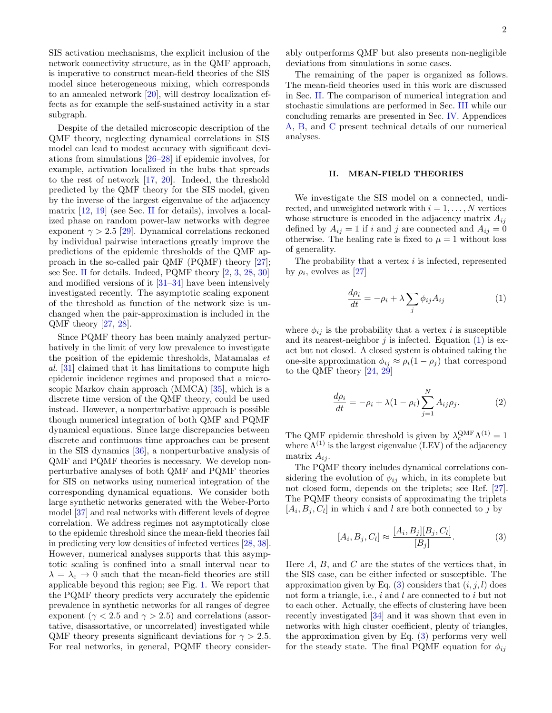SIS activation mechanisms, the explicit inclusion of the network connectivity structure, as in the QMF approach, is imperative to construct mean-field theories of the SIS model since heterogeneous mixing, which corresponds to an annealed network [\[20\]](#page-8-1), will destroy localization effects as for example the self-sustained activity in a star subgraph.

Despite of the detailed microscopic description of the QMF theory, neglecting dynamical correlations in SIS model can lead to modest accuracy with significant deviations from simulations [\[26–](#page-8-7)[28\]](#page-8-8) if epidemic involves, for example, activation localized in the hubs that spreads to the rest of network [\[17,](#page-7-14) [20\]](#page-8-1). Indeed, the threshold predicted by the QMF theory for the SIS model, given by the inverse of the largest eigenvalue of the adjacency matrix [\[12,](#page-7-10) [19\]](#page-8-0) (see Sec. [II](#page-1-0) for details), involves a localized phase on random power-law networks with degree exponent  $\gamma > 2.5$  [\[29\]](#page-8-9). Dynamical correlations reckoned by individual pairwise interactions greatly improve the predictions of the epidemic thresholds of the QMF approach in the so-called pair QMF (PQMF) theory [\[27\]](#page-8-10); see Sec. [II](#page-1-0) for details. Indeed, PQMF theory [\[2,](#page-7-16) [3,](#page-7-1) [28,](#page-8-8) [30\]](#page-8-11) and modified versions of it [\[31–](#page-8-12)[34\]](#page-8-13) have been intensively investigated recently. The asymptotic scaling exponent of the threshold as function of the network size is unchanged when the pair-approximation is included in the QMF theory [\[27,](#page-8-10) [28\]](#page-8-8).

Since PQMF theory has been mainly analyzed perturbatively in the limit of very low prevalence to investigate the position of the epidemic thresholds, Matamalas et al. [\[31\]](#page-8-12) claimed that it has limitations to compute high epidemic incidence regimes and proposed that a microscopic Markov chain approach (MMCA) [\[35\]](#page-8-14), which is a discrete time version of the QMF theory, could be used instead. However, a nonperturbative approach is possible though numerical integration of both QMF and PQMF dynamical equations. Since large discrepancies between discrete and continuous time approaches can be present in the SIS dynamics [\[36\]](#page-8-15), a nonperturbative analysis of QMF and PQMF theories is necessary. We develop nonperturbative analyses of both QMF and PQMF theories for SIS on networks using numerical integration of the corresponding dynamical equations. We consider both large synthetic networks generated with the Weber-Porto model [\[37\]](#page-8-16) and real networks with different levels of degree correlation. We address regimes not asymptotically close to the epidemic threshold since the mean-field theories fail in predicting very low densities of infected vertices [\[28,](#page-8-8) [38\]](#page-8-17). However, numerical analyses supports that this asymptotic scaling is confined into a small interval near to  $\lambda = \lambda_c \rightarrow 0$  such that the mean-field theories are still applicable beyond this region; see Fig. [1.](#page-2-0) We report that the PQMF theory predicts very accurately the epidemic prevalence in synthetic networks for all ranges of degree exponent ( $\gamma$  < 2.5 and  $\gamma$  > 2.5) and correlations (assortative, disassortative, or uncorrelated) investigated while QMF theory presents significant deviations for  $\gamma > 2.5$ . For real networks, in general, PQMF theory considerably outperforms QMF but also presents non-negligible deviations from simulations in some cases.

The remaining of the paper is organized as follows. The mean-field theories used in this work are discussed in Sec. [II.](#page-1-0) The comparison of numerical integration and stochastic simulations are performed in Sec. [III](#page-2-1) while our concluding remarks are presented in Sec. [IV.](#page-6-0) Appendices [A,](#page-6-1) [B,](#page-6-2) and [C](#page-7-17) present technical details of our numerical analyses.

### <span id="page-1-0"></span>II. MEAN-FIELD THEORIES

We investigate the SIS model on a connected, undirected, and unweighted network with  $i = 1, \ldots, N$  vertices whose structure is encoded in the adjacency matrix  $A_{ij}$ defined by  $A_{ij} = 1$  if i and j are connected and  $A_{ij} = 0$ otherwise. The healing rate is fixed to  $\mu = 1$  without loss of generality.

The probability that a vertex  $i$  is infected, represented by  $\rho_i$ , evolves as [\[27\]](#page-8-10)

<span id="page-1-1"></span>
$$
\frac{d\rho_i}{dt} = -\rho_i + \lambda \sum_j \phi_{ij} A_{ij} \tag{1}
$$

where  $\phi_{ij}$  is the probability that a vertex *i* is susceptible and its nearest-neighbor  $j$  is infected. Equation [\(1\)](#page-1-1) is exact but not closed. A closed system is obtained taking the one-site approximation  $\phi_{ij} \approx \rho_i (1 - \rho_j)$  that correspond to the QMF theory [\[24,](#page-8-5) [29\]](#page-8-9)

<span id="page-1-3"></span>
$$
\frac{d\rho_i}{dt} = -\rho_i + \lambda(1 - \rho_i) \sum_{j=1}^{N} A_{ij} \rho_j.
$$
 (2)

The QMF epidemic threshold is given by  $\lambda_c^{\text{QMF}} \Lambda^{(1)} = 1$ where  $\Lambda^{(1)}$  is the largest eigenvalue (LEV) of the adjacency matrix  $A_{ij}$ .

The PQMF theory includes dynamical correlations considering the evolution of  $\phi_{ij}$  which, in its complete but not closed form, depends on the triplets; see Ref. [\[27\]](#page-8-10). The PQMF theory consists of approximating the triplets  $[A_i, B_j, C_l]$  in which i and l are both connected to j by

<span id="page-1-2"></span>
$$
[A_i, B_j, C_l] \approx \frac{[A_i, B_j][B_j, C_l]}{[B_j]}.
$$
 (3)

Here  $A$ ,  $B$ , and  $C$  are the states of the vertices that, in the SIS case, can be either infected or susceptible. The approximation given by Eq.  $(3)$  considers that  $(i, j, l)$  does not form a triangle, i.e., i and l are connected to i but not to each other. Actually, the effects of clustering have been recently investigated [\[34\]](#page-8-13) and it was shown that even in networks with high cluster coefficient, plenty of triangles, the approximation given by Eq. [\(3\)](#page-1-2) performs very well for the steady state. The final PQMF equation for  $\phi_{ij}$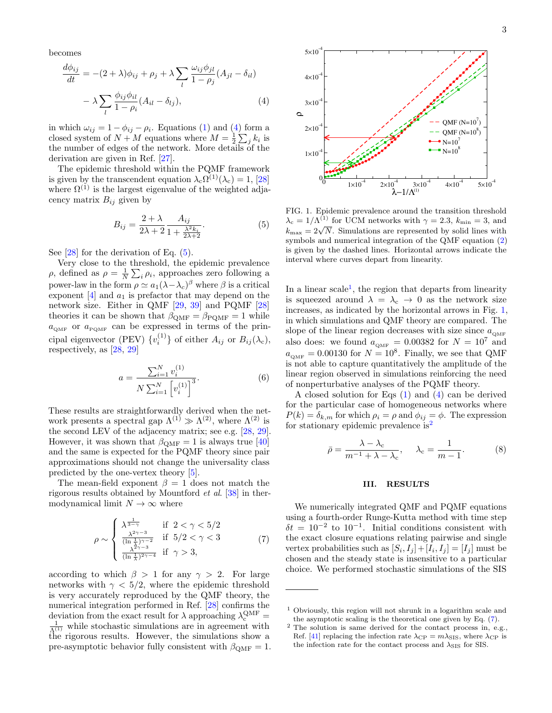becomes

<span id="page-2-2"></span>
$$
\frac{d\phi_{ij}}{dt} = -(2+\lambda)\phi_{ij} + \rho_j + \lambda \sum_l \frac{\omega_{ij}\phi_{jl}}{1-\rho_j} (A_{jl} - \delta_{il})
$$

$$
-\lambda \sum_l \frac{\phi_{ij}\phi_{il}}{1-\rho_i} (A_{il} - \delta_{lj}), \qquad (4)
$$

in which  $\omega_{ij} = 1 - \phi_{ij} - \rho_i$ . Equations [\(1\)](#page-1-1) and [\(4\)](#page-2-2) form a closed system of  $N+M$  equations where  $M=\frac{1}{2}\sum_j k_i$  is the number of edges of the network. More details of the derivation are given in Ref. [\[27\]](#page-8-10).

The epidemic threshold within the PQMF framework is given by the transcendent equation  $\lambda_c \Omega^{(1)}(\lambda_c) = 1$ , [\[28\]](#page-8-8) where  $\Omega^{(1)}$  is the largest eigenvalue of the weighted adjacency matrix  $B_{ij}$  given by

<span id="page-2-3"></span>
$$
B_{ij} = \frac{2+\lambda}{2\lambda+2} \frac{A_{ij}}{1+\frac{\lambda^2 k_i}{2\lambda+2}}.\tag{5}
$$

See [\[28\]](#page-8-8) for the derivation of Eq. [\(5\)](#page-2-3).

Very close to the threshold, the epidemic prevalence  $ρ$ , defined as  $ρ = \frac{1}{N} \sum_i ρ_i$ , approaches zero following a power-law in the form  $\rho \simeq a_1(\lambda - \lambda_c)^{\beta}$  where  $\beta$  is a critical exponent  $[4]$  and  $a_1$  is prefactor that may depend on the network size. Either in QMF [\[29,](#page-8-9) [39\]](#page-8-18) and PQMF [\[28\]](#page-8-8) theories it can be shown that  $\beta_{\text{QMF}} = \beta_{\text{PQMF}} = 1$  while  $a_{\text{QMF}}$  or  $a_{\text{PQMF}}$  can be expressed in terms of the principal eigenvector (PEV)  $\{v_i^{(1)}\}$  of either  $A_{ij}$  or  $B_{ij}(\lambda_c)$ , respectively, as [\[28,](#page-8-8) [29\]](#page-8-9)

$$
a = \frac{\sum_{i=1}^{N} v_i^{(1)}}{N \sum_{i=1}^{N} \left[ v_i^{(1)} \right]^3}.
$$
 (6)

These results are straightforwardly derived when the network presents a spectral gap  $\Lambda^{(1)} \gg \Lambda^{(2)}$ , where  $\Lambda^{(2)}$  is the second LEV of the adjacency matrix; see e.g. [\[28,](#page-8-8) [29\]](#page-8-9). However, it was shown that  $\beta_{\text{QMF}} = 1$  is always true [\[40\]](#page-8-19) and the same is expected for the PQMF theory since pair approximations should not change the universality class predicted by the one-vertex theory [\[5\]](#page-7-3).

The mean-field exponent  $\beta = 1$  does not match the rigorous results obtained by Mountford et al. [\[38\]](#page-8-17) in thermodynamical limit  $N \to \infty$  where

<span id="page-2-6"></span>
$$
\rho \sim \begin{cases}\n\frac{\lambda^{\frac{1}{3-\gamma}}}{(\ln \frac{1}{\lambda})^{\gamma-2}} & \text{if } 2 < \gamma < 5/2 \\
\frac{\frac{\lambda^{2\gamma-3}}{(\ln \frac{1}{\lambda})^{\gamma-2}}}{(\ln \frac{1}{\lambda})^{2\gamma-4}} & \text{if } \gamma > 3,\n\end{cases} (7)
$$

according to which  $\beta > 1$  for any  $\gamma > 2$ . For large networks with  $\gamma < 5/2$ , where the epidemic threshold is very accurately reproduced by the QMF theory, the numerical integration performed in Ref. [\[28\]](#page-8-8) confirms the deviation from the exact result for  $\lambda$  approaching  $\lambda_c^{\text{QMF}} =$  $\frac{1}{\Lambda^{(1)}}$  while stochastic simulations are in agreement with the rigorous results. However, the simulations show a pre-asymptotic behavior fully consistent with  $\beta_{\text{QMF}} = 1$ .



 $1\times10^{-4}$   $2\times10^{-4}$   $3\times10^{-4}$   $4\times10^{-4}$   $5\times10^{-4}$ 

FIG. 1. Epidemic prevalence around the transition threshold  $\lambda_c = 1/\Lambda^{(1)}$  for UCM networks with  $\gamma = 2.3$ ,  $k_{\text{min}} = 3$ , and  $k_{\text{max}} = 1/\Lambda$ . Simulations are represented by solid lines with  $k_{\text{max}} = 2\sqrt{N}$ . Simulations are represented by solid lines with symbols and numerical integration of the QMF equation [\(2\)](#page-1-3) is given by the dashed lines. Horizontal arrows indicate the interval where curves depart from linearity.

λ−1/ $Λ$ <sup>(1)</sup>

<span id="page-2-0"></span>0

 $0_{\alpha}$ 

 $1\times10$ 

 $2\times10$ 

 $3\times10$ 

ρ

 $4\times10$ 

 $5 \times 10^{-7}$ 

In a linear scale<sup>[1](#page-2-4)</sup>, the region that departs from linearity is squeezed around  $\lambda = \lambda_c \rightarrow 0$  as the network size increases, as indicated by the horizontal arrows in Fig. [1,](#page-2-0) in which simulations and QMF theory are compared. The slope of the linear region decreases with size since  $a_{\text{OMF}}$ also does: we found  $a_{\text{QMF}} = 0.00382$  for  $N = 10^7$  and  $a_{\text{QMF}} = 0.00130$  for  $N = 10^8$ . Finally, we see that QMF is not able to capture quantitatively the amplitude of the linear region observed in simulations reinforcing the need of nonperturbative analyses of the PQMF theory.

A closed solution for Eqs [\(1\)](#page-1-1) and [\(4\)](#page-2-2) can be derived for the particular case of homogeneous networks where  $P(k) = \delta_{k,m}$  for which  $\rho_i = \rho$  and  $\phi_{ij} = \phi$ . The expression for stationary epidemic prevalence is<sup>[2](#page-2-5)</sup>

<span id="page-2-7"></span>
$$
\bar{\rho} = \frac{\lambda - \lambda_c}{m^{-1} + \lambda - \lambda_c}, \quad \lambda_c = \frac{1}{m - 1}.
$$
 (8)

#### <span id="page-2-1"></span>III. RESULTS

We numerically integrated QMF and PQMF equations using a fourth-order Runge-Kutta method with time step  $\delta t = 10^{-2}$  to  $10^{-1}$ . Initial conditions consistent with the exact closure equations relating pairwise and single vertex probabilities such as  $[S_i, I_j] + [I_i, I_j] = [I_j]$  must be chosen and the steady state is insensitive to a particular choice. We performed stochastic simulations of the SIS

<span id="page-2-4"></span><sup>1</sup> Obviously, this region will not shrunk in a logarithm scale and the asymptotic scaling is the theoretical one given by Eq. [\(7\)](#page-2-6).

<span id="page-2-5"></span><sup>2</sup> The solution is same derived for the contact process in, e.g., Ref. [\[41\]](#page-8-20) replacing the infection rate  $\lambda_{\rm CP} = m\lambda_{\rm SIS}$ , where  $\lambda_{\rm CP}$  is the infection rate for the contact process and  $\lambda_{\rm SIS}$  for SIS.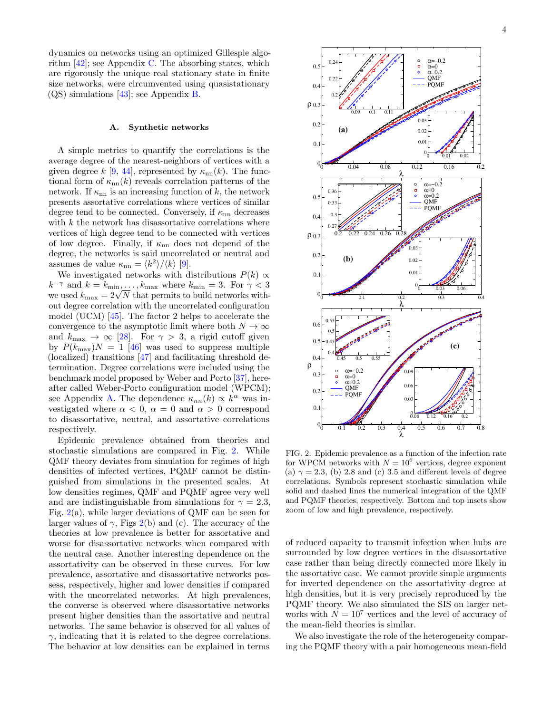dynamics on networks using an optimized Gillespie algorithm  $[42]$ ; see Appendix [C.](#page-7-17) The absorbing states, which are rigorously the unique real stationary state in finite size networks, were circumvented using quasistationary (QS) simulations [\[43\]](#page-8-22); see Appendix [B.](#page-6-2)

#### A. Synthetic networks

A simple metrics to quantify the correlations is the average degree of the nearest-neighbors of vertices with a given degree k [\[9,](#page-7-7) [44\]](#page-8-23), represented by  $\kappa_{nn}(k)$ . The functional form of  $\kappa_{nn}(k)$  reveals correlation patterns of the network. If  $\kappa_{nn}$  is an increasing function of k, the network presents assortative correlations where vertices of similar degree tend to be connected. Conversely, if  $\kappa_{nn}$  decreases with  $k$  the network has disassortative correlations where vertices of high degree tend to be connected with vertices of low degree. Finally, if  $\kappa_{nn}$  does not depend of the degree, the networks is said uncorrelated or neutral and assumes de value  $\kappa_{nn} = \langle k^2 \rangle / \langle k \rangle$  [\[9\]](#page-7-7).

We investigated networks with distributions  $P(k) \propto$  $k^{-\gamma}$  and  $k = k_{\min}, \ldots, k_{\max}$  where  $k_{\min} = 3$ . For  $\gamma < 3$  $k$  ' and  $k = k_{\min}, \dots, k_{\max}$  where  $k_{\min} = 3$ . For  $\gamma < 3$  we used  $k_{\max} = 2\sqrt{N}$  that permits to build networks without degree correlation with the uncorrelated configuration model (UCM) [\[45\]](#page-8-24). The factor 2 helps to accelerate the convergence to the asymptotic limit where both  $N \to \infty$ and  $k_{\text{max}} \rightarrow \infty$  [\[28\]](#page-8-8). For  $\gamma > 3$ , a rigid cutoff given by  $P(k_{\text{max}})N = 1$  [\[46\]](#page-8-25) was used to suppress multiple (localized) transitions [\[47\]](#page-8-26) and facilitating threshold determination. Degree correlations were included using the benchmark model proposed by Weber and Porto [\[37\]](#page-8-16), hereafter called Weber-Porto configuration model (WPCM); see Appendix [A.](#page-6-1) The dependence  $\kappa_{nn}(k) \propto k^{\alpha}$  was investigated where  $\alpha < 0$ ,  $\alpha = 0$  and  $\alpha > 0$  correspond to disassortative, neutral, and assortative correlations respectively.

Epidemic prevalence obtained from theories and stochastic simulations are compared in Fig. [2.](#page-3-0) While QMF theory deviates from simulation for regimes of high densities of infected vertices, PQMF cannot be distinguished from simulations in the presented scales. At low densities regimes, QMF and PQMF agree very well and are indistinguishable from simulations for  $\gamma = 2.3$ , Fig.  $2(a)$  $2(a)$ , while larger deviations of QMF can be seen for larger values of  $\gamma$ , Figs [2\(](#page-3-0)b) and (c). The accuracy of the theories at low prevalence is better for assortative and worse for disassortative networks when compared with the neutral case. Another interesting dependence on the assortativity can be observed in these curves. For low prevalence, assortative and disassortative networks possess, respectively, higher and lower densities if compared with the uncorrelated networks. At high prevalences, the converse is observed where disassortative networks present higher densities than the assortative and neutral networks. The same behavior is observed for all values of  $\gamma$ , indicating that it is related to the degree correlations. The behavior at low densities can be explained in terms



<span id="page-3-0"></span>FIG. 2. Epidemic prevalence as a function of the infection rate for WPCM networks with  $N = 10^6$  vertices, degree exponent (a)  $\gamma = 2.3$ , (b) 2.8 and (c) 3.5 and different levels of degree correlations. Symbols represent stochastic simulation while solid and dashed lines the numerical integration of the QMF and PQMF theories, respectively. Bottom and top insets show zoom of low and high prevalence, respectively.

of reduced capacity to transmit infection when hubs are surrounded by low degree vertices in the disassortative case rather than being directly connected more likely in the assortative case. We cannot provide simple arguments for inverted dependence on the assortativity degree at high densities, but it is very precisely reproduced by the PQMF theory. We also simulated the SIS on larger networks with  $N = 10^7$  vertices and the level of accuracy of the mean-field theories is similar.

We also investigate the role of the heterogeneity comparing the PQMF theory with a pair homogeneous mean-field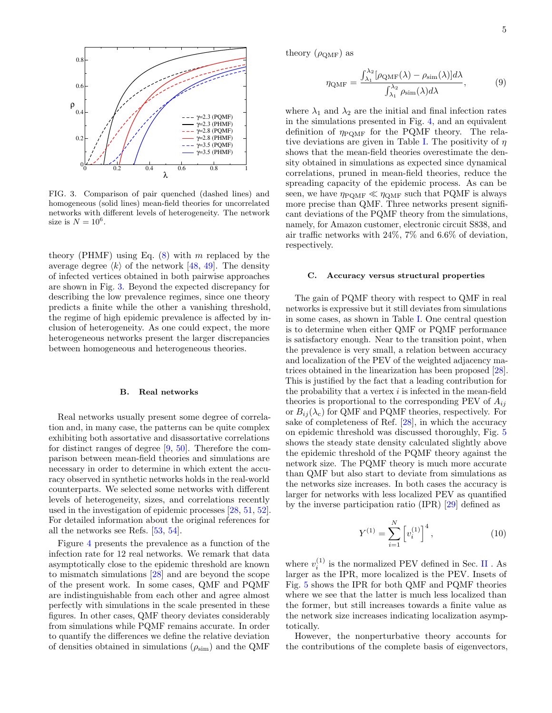

<span id="page-4-0"></span>FIG. 3. Comparison of pair quenched (dashed lines) and homogeneous (solid lines) mean-field theories for uncorrelated networks with different levels of heterogeneity. The network size is  $N = 10^6$ .

theory (PHMF) using Eq.  $(8)$  with m replaced by the average degree  $\langle k \rangle$  of the network [\[48,](#page-8-27) [49\]](#page-8-28). The density of infected vertices obtained in both pairwise approaches are shown in Fig. [3.](#page-4-0) Beyond the expected discrepancy for describing the low prevalence regimes, since one theory predicts a finite while the other a vanishing threshold, the regime of high epidemic prevalence is affected by inclusion of heterogeneity. As one could expect, the more heterogeneous networks present the larger discrepancies between homogeneous and heterogeneous theories.

#### B. Real networks

Real networks usually present some degree of correlation and, in many case, the patterns can be quite complex exhibiting both assortative and disassortative correlations for distinct ranges of degree [\[9,](#page-7-7) [50\]](#page-8-29). Therefore the comparison between mean-field theories and simulations are necessary in order to determine in which extent the accuracy observed in synthetic networks holds in the real-world counterparts. We selected some networks with different levels of heterogeneity, sizes, and correlations recently used in the investigation of epidemic processes [\[28,](#page-8-8) [51,](#page-8-30) [52\]](#page-8-31). For detailed information about the original references for all the networks see Refs. [\[53,](#page-8-32) [54\]](#page-8-33).

Figure [4](#page-5-0) presents the prevalence as a function of the infection rate for 12 real networks. We remark that data asymptotically close to the epidemic threshold are known to mismatch simulations [\[28\]](#page-8-8) and are beyond the scope of the present work. In some cases, QMF and PQMF are indistinguishable from each other and agree almost perfectly with simulations in the scale presented in these figures. In other cases, QMF theory deviates considerably from simulations while PQMF remains accurate. In order to quantify the differences we define the relative deviation of densities obtained in simulations  $(\rho_{sim})$  and the QMF

theory  $(\rho_{\text{QMF}})$  as

$$
\eta_{\text{QMF}} = \frac{\int_{\lambda_1}^{\lambda_2} [\rho_{\text{QMF}}(\lambda) - \rho_{\text{sim}}(\lambda)] d\lambda}{\int_{\lambda_1}^{\lambda_2} \rho_{\text{sim}}(\lambda) d\lambda},\tag{9}
$$

where  $\lambda_1$  and  $\lambda_2$  are the initial and final infection rates in the simulations presented in Fig. [4,](#page-5-0) and an equivalent definition of  $\eta_{\text{POMF}}$  for the PQMF theory. The rela-tive deviations are given in Table [I.](#page-5-1) The positivity of  $\eta$ shows that the mean-field theories overestimate the density obtained in simulations as expected since dynamical correlations, pruned in mean-field theories, reduce the spreading capacity of the epidemic process. As can be seen, we have  $\eta_{\text{PQMF}} \ll \eta_{\text{QMF}}$  such that PQMF is always more precise than QMF. Three networks present significant deviations of the PQMF theory from the simulations, namely, for Amazon customer, electronic circuit S838, and air traffic networks with 24%, 7% and 6.6% of deviation, respectively.

#### C. Accuracy versus structural properties

The gain of PQMF theory with respect to QMF in real networks is expressive but it still deviates from simulations in some cases, as shown in Table [I.](#page-5-1) One central question is to determine when either QMF or PQMF performance is satisfactory enough. Near to the transition point, when the prevalence is very small, a relation between accuracy and localization of the PEV of the weighted adjacency matrices obtained in the linearization has been proposed [\[28\]](#page-8-8). This is justified by the fact that a leading contribution for the probability that a vertex  $i$  is infected in the mean-field theories is proportional to the corresponding PEV of  $A_{ij}$ or  $B_{ii}(\lambda_c)$  for QMF and PQMF theories, respectively. For sake of completeness of Ref. [\[28\]](#page-8-8), in which the accuracy on epidemic threshold was discussed thoroughly, Fig. [5](#page-6-3) shows the steady state density calculated slightly above the epidemic threshold of the PQMF theory against the network size. The PQMF theory is much more accurate than QMF but also start to deviate from simulations as the networks size increases. In both cases the accuracy is larger for networks with less localized PEV as quantified by the inverse participation ratio (IPR) [\[29\]](#page-8-9) defined as

$$
Y^{(1)} = \sum_{i=1}^{N} \left[ v_i^{(1)} \right]^4, \tag{10}
$$

where  $v_i^{(1)}$  is the normalized PEV defined in Sec. [II](#page-1-0) . As larger as the IPR, more localized is the PEV. Insets of Fig. [5](#page-6-3) shows the IPR for both QMF and PQMF theories where we see that the latter is much less localized than the former, but still increases towards a finite value as the network size increases indicating localization asymptotically.

However, the nonperturbative theory accounts for the contributions of the complete basis of eigenvectors,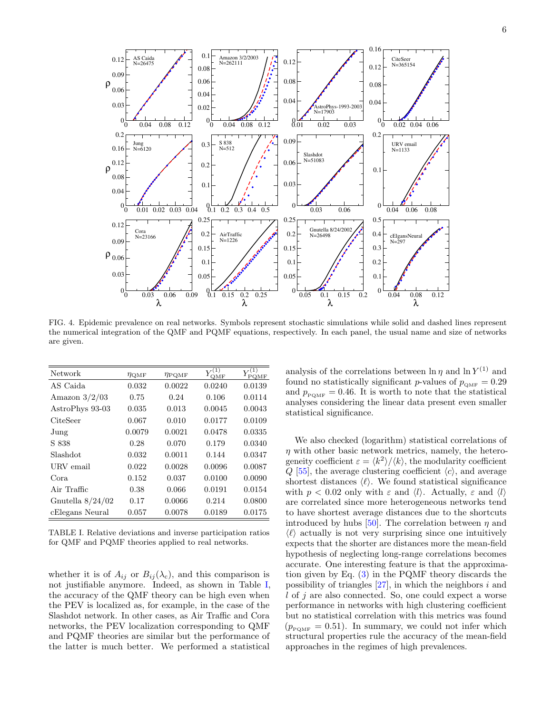

<span id="page-5-0"></span>FIG. 4. Epidemic prevalence on real networks. Symbols represent stochastic simulations while solid and dashed lines represent the numerical integration of the QMF and PQMF equations, respectively. In each panel, the usual name and size of networks are given.

| Network            | $\eta_{\rm QMF}$ | $\eta_\mathrm{POMF}$ | OMF    | (1)<br>PQMF |
|--------------------|------------------|----------------------|--------|-------------|
| AS Caida           | 0.032            | 0.0022               | 0.0240 | 0.0139      |
| Amazon $3/2/03$    | 0.75             | 0.24                 | 0.106  | 0.0114      |
| AstroPhys 93-03    | 0.035            | 0.013                | 0.0045 | 0.0043      |
| CiteSeer           | 0.067            | 0.010                | 0.0177 | 0.0109      |
| Jung               | 0.0079           | 0.0021               | 0.0478 | 0.0335      |
| S 838              | 0.28             | 0.070                | 0.179  | 0.0340      |
| Slashdot           | 0.032            | 0.0011               | 0.144  | 0.0347      |
| URV email          | 0.022            | 0.0028               | 0.0096 | 0.0087      |
| Cora               | 0.152            | 0.037                | 0.0100 | 0.0090      |
| Air Traffic        | 0.38             | 0.066                | 0.0191 | 0.0154      |
| Gnutella $8/24/02$ | 0.17             | 0.0066               | 0.214  | 0.0800      |
| cElegans Neural    | 0.057            | 0.0078               | 0.0189 | 0.0175      |

<span id="page-5-1"></span>TABLE I. Relative deviations and inverse participation ratios for QMF and PQMF theories applied to real networks.

whether it is of  $A_{ij}$  or  $B_{ij}(\lambda_c)$ , and this comparison is not justifiable anymore. Indeed, as shown in Table [I,](#page-5-1) the accuracy of the QMF theory can be high even when the PEV is localized as, for example, in the case of the Slashdot network. In other cases, as Air Traffic and Cora networks, the PEV localization corresponding to QMF and PQMF theories are similar but the performance of the latter is much better. We performed a statistical

analysis of the correlations between  $\ln \eta$  and  $\ln Y^{(1)}$  and found no statistically significant p-values of  $p_{\text{OMF}} = 0.29$ and  $p_{\text{POMF}} = 0.46$ . It is worth to note that the statistical analyses considering the linear data present even smaller statistical significance.

We also checked (logarithm) statistical correlations of  $\eta$  with other basic network metrics, namely, the heterogeneity coefficient  $\varepsilon = \langle k^2 \rangle / \langle k \rangle$ , the modularity coefficient  $Q$  [\[55\]](#page-8-34), the average clustering coefficient  $\langle c \rangle$ , and average shortest distances  $\langle \ell \rangle$ . We found statistical significance with  $p < 0.02$  only with  $\varepsilon$  and  $\langle l \rangle$ . Actually,  $\varepsilon$  and  $\langle l \rangle$ are correlated since more heterogeneous networks tend to have shortest average distances due to the shortcuts introduced by hubs [\[50\]](#page-8-29). The correlation between  $\eta$  and  $\langle \ell \rangle$  actually is not very surprising since one intuitively expects that the shorter are distances more the mean-field hypothesis of neglecting long-range correlations becomes accurate. One interesting feature is that the approximation given by Eq. [\(3\)](#page-1-2) in the PQMF theory discards the possibility of triangles  $[27]$ , in which the neighbors i and l of j are also connected. So, one could expect a worse performance in networks with high clustering coefficient but no statistical correlation with this metrics was found  $(p_{\text{p}_{\text{OMF}}} = 0.51)$ . In summary, we could not infer which structural properties rule the accuracy of the mean-field approaches in the regimes of high prevalences.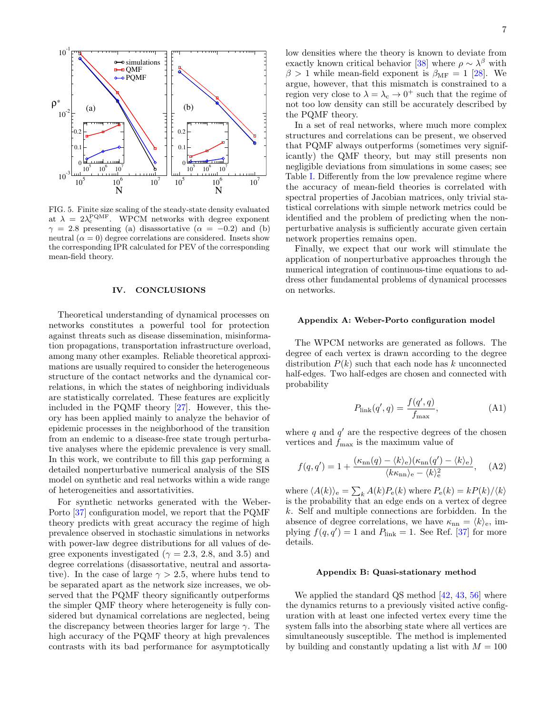

<span id="page-6-3"></span>FIG. 5. Finite size scaling of the steady-state density evaluated at  $\lambda = 2\lambda_c^{PQMF}$ . WPCM networks with degree exponent  $\gamma = 2.8$  presenting (a) disassortative ( $\alpha = -0.2$ ) and (b) neutral  $(\alpha = 0)$  degree correlations are considered. Insets show the corresponding IPR calculated for PEV of the corresponding mean-field theory.

#### <span id="page-6-0"></span>IV. CONCLUSIONS

Theoretical understanding of dynamical processes on networks constitutes a powerful tool for protection against threats such as disease dissemination, misinformation propagations, transportation infrastructure overload, among many other examples. Reliable theoretical approximations are usually required to consider the heterogeneous structure of the contact networks and the dynamical correlations, in which the states of neighboring individuals are statistically correlated. These features are explicitly included in the PQMF theory [\[27\]](#page-8-10). However, this theory has been applied mainly to analyze the behavior of epidemic processes in the neighborhood of the transition from an endemic to a disease-free state trough perturbative analyses where the epidemic prevalence is very small. In this work, we contribute to fill this gap performing a detailed nonperturbative numerical analysis of the SIS model on synthetic and real networks within a wide range of heterogeneities and assortativities.

For synthetic networks generated with the Weber-Porto [\[37\]](#page-8-16) configuration model, we report that the PQMF theory predicts with great accuracy the regime of high prevalence observed in stochastic simulations in networks with power-law degree distributions for all values of degree exponents investigated ( $\gamma = 2.3, 2.8,$  and 3.5) and degree correlations (disassortative, neutral and assortative). In the case of large  $\gamma > 2.5$ , where hubs tend to be separated apart as the network size increases, we observed that the PQMF theory significantly outperforms the simpler QMF theory where heterogeneity is fully considered but dynamical correlations are neglected, being the discrepancy between theories larger for large  $\gamma$ . The high accuracy of the PQMF theory at high prevalences contrasts with its bad performance for asymptotically

low densities where the theory is known to deviate from exactly known critical behavior [\[38\]](#page-8-17) where  $\rho \sim \lambda^{\beta}$  with  $\beta > 1$  while mean-field exponent is  $\beta_{\text{MF}} = 1$  [\[28\]](#page-8-8). We argue, however, that this mismatch is constrained to a region very close to  $\lambda = \lambda_c \rightarrow 0^+$  such that the regime of not too low density can still be accurately described by the PQMF theory.

In a set of real networks, where much more complex structures and correlations can be present, we observed that PQMF always outperforms (sometimes very significantly) the QMF theory, but may still presents non negligible deviations from simulations in some cases; see Table [I.](#page-5-1) Differently from the low prevalence regime where the accuracy of mean-field theories is correlated with spectral properties of Jacobian matrices, only trivial statistical correlations with simple network metrics could be identified and the problem of predicting when the nonperturbative analysis is sufficiently accurate given certain network properties remains open.

Finally, we expect that our work will stimulate the application of nonperturbative approaches through the numerical integration of continuous-time equations to address other fundamental problems of dynamical processes on networks.

#### <span id="page-6-1"></span>Appendix A: Weber-Porto configuration model

The WPCM networks are generated as follows. The degree of each vertex is drawn according to the degree distribution  $P(k)$  such that each node has k unconnected half-edges. Two half-edges are chosen and connected with probability

$$
P_{\text{link}}(q', q) = \frac{f(q', q)}{f_{\text{max}}},\tag{A1}
$$

where  $q$  and  $q'$  are the respective degrees of the chosen vertices and  $f_{\text{max}}$  is the maximum value of

$$
f(q, q') = 1 + \frac{(\kappa_{\rm nn}(q) - \langle k \rangle_{\rm e})(\kappa_{\rm nn}(q') - \langle k \rangle_{\rm e})}{\langle k \kappa_{\rm nn} \rangle_{\rm e} - \langle k \rangle_{\rm e}^2}, \quad \text{(A2)}
$$

where  $\langle A(k)\rangle_e = \sum_k A(k)P_e(k)$  where  $P_e(k) = kP(k)/\langle k\rangle$ is the probability that an edge ends on a vertex of degree k. Self and multiple connections are forbidden. In the absence of degree correlations, we have  $\kappa_{nn} = \langle k \rangle_e$ , implying  $f(q, q') = 1$  and  $P_{\text{link}} = 1$ . See Ref. [\[37\]](#page-8-16) for more details.

#### <span id="page-6-2"></span>Appendix B: Quasi-stationary method

We applied the standard QS method [\[42,](#page-8-21) [43,](#page-8-22) [56\]](#page-8-35) where the dynamics returns to a previously visited active configuration with at least one infected vertex every time the system falls into the absorbing state where all vertices are simultaneously susceptible. The method is implemented by building and constantly updating a list with  $M = 100$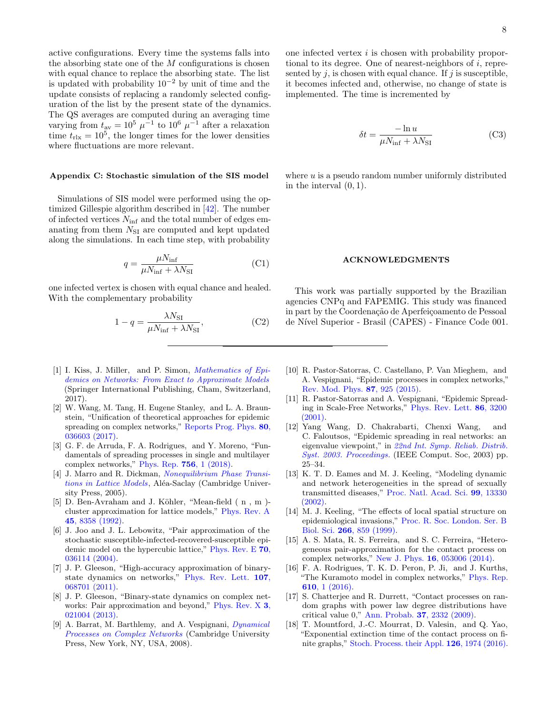active configurations. Every time the systems falls into the absorbing state one of the  $M$  configurations is chosen with equal chance to replace the absorbing state. The list is updated with probability  $10^{-2}$  by unit of time and the update consists of replacing a randomly selected configuration of the list by the present state of the dynamics. The QS averages are computed during an averaging time varying from  $t_{\text{av}} = 10^5 \mu^{-1}$  to  $10^6 \mu^{-1}$  after a relaxation time  $t_{\text{rlx}} = 10^5$ , the longer times for the lower densities where fluctuations are more relevant.

#### <span id="page-7-17"></span>Appendix C: Stochastic simulation of the SIS model

Simulations of SIS model were performed using the optimized Gillespie algorithm described in [\[42\]](#page-8-21). The number of infected vertices  $N_{\text{inf}}$  and the total number of edges emanating from them  $N_{\rm SI}$  are computed and kept updated along the simulations. In each time step, with probability

$$
q = \frac{\mu N_{\rm inf}}{\mu N_{\rm inf} + \lambda N_{\rm SI}} \tag{C1}
$$

one infected vertex is chosen with equal chance and healed. With the complementary probability

$$
1 - q = \frac{\lambda N_{\rm SI}}{\mu N_{\rm inf} + \lambda N_{\rm SI}},\tag{C2}
$$

- <span id="page-7-0"></span>[1] I. Kiss, J. Miller, and P. Simon, *[Mathematics of Epi](https://books.google.com.br/books?id=DlEnDwAAQBAJ)*[demics on Networks: From Exact to Approximate Models](https://books.google.com.br/books?id=DlEnDwAAQBAJ) (Springer International Publishing, Cham, Switzerland, 2017).
- <span id="page-7-16"></span>[2] W. Wang, M. Tang, H. Eugene Stanley, and L. A. Braunstein, "Unification of theoretical approaches for epidemic spreading on complex networks," [Reports Prog. Phys.](http://stacks.iop.org/0034-4885/80/i=3/a=036603?key=crossref.4f9f539ce4ec9136498d42eadc426480) 80, [036603 \(2017\).](http://stacks.iop.org/0034-4885/80/i=3/a=036603?key=crossref.4f9f539ce4ec9136498d42eadc426480)
- <span id="page-7-1"></span>[3] G. F. de Arruda, F. A. Rodrigues, and Y. Moreno, "Fundamentals of spreading processes in single and multilayer complex networks," [Phys. Rep.](https://linkinghub.elsevier.com/retrieve/pii/S0370157318301492) 756, 1 (2018).
- <span id="page-7-2"></span>[4] J. Marro and R. Dickman, [Nonequilibrium Phase Transi](https://books.google.com.br/books?id=80YF69jbczYC)[tions in Lattice Models](https://books.google.com.br/books?id=80YF69jbczYC), Aléa-Saclay (Cambridge University Press, 2005).
- <span id="page-7-3"></span>[5] D. Ben-Avraham and J. Köhler, "Mean-field (n, m)cluster approximation for lattice models," [Phys. Rev. A](http://dx.doi.org/10.1103/PhysRevA.45.8358) 45[, 8358 \(1992\).](http://dx.doi.org/10.1103/PhysRevA.45.8358)
- <span id="page-7-4"></span>[6] J. Joo and J. L. Lebowitz, "Pair approximation of the stochastic susceptible-infected-recovered-susceptible epidemic model on the hypercubic lattice," [Phys. Rev. E](http://link.aps.org/doi/10.1103/PhysRevE.70.036114) 70, [036114 \(2004\).](http://link.aps.org/doi/10.1103/PhysRevE.70.036114)
- <span id="page-7-5"></span>[7] J. P. Gleeson, "High-accuracy approximation of binarystate dynamics on networks," [Phys. Rev. Lett.](https://link.aps.org/doi/10.1103/PhysRevLett.107.068701) 107, [068701 \(2011\).](https://link.aps.org/doi/10.1103/PhysRevLett.107.068701)
- <span id="page-7-6"></span>[8] J. P. Gleeson, "Binary-state dynamics on complex networks: Pair approximation and beyond," [Phys. Rev. X](http://link.aps.org/doi/10.1103/PhysRevX.3.021004) 3, [021004 \(2013\).](http://link.aps.org/doi/10.1103/PhysRevX.3.021004)
- <span id="page-7-7"></span>[9] A. Barrat, M. Barthlemy, and A. Vespignani, *[Dynamical](http://ebooks.cambridge.org/ref/id/CBO9780511791383)* [Processes on Complex Networks](http://ebooks.cambridge.org/ref/id/CBO9780511791383) (Cambridge University Press, New York, NY, USA, 2008).

one infected vertex i is chosen with probability proportional to its degree. One of nearest-neighbors of  $i$ , represented by  $j$ , is chosen with equal chance. If  $j$  is susceptible, it becomes infected and, otherwise, no change of state is implemented. The time is incremented by

$$
\delta t = \frac{-\ln u}{\mu N_{\text{inf}} + \lambda N_{\text{SI}}} \tag{C3}
$$

where  $u$  is a pseudo random number uniformly distributed in the interval  $(0, 1)$ .

#### ACKNOWLEDGMENTS

This work was partially supported by the Brazilian agencies CNPq and FAPEMIG. This study was financed in part by the Coordenação de Aperfeiçoamento de Pessoal de Nível Superior - Brasil (CAPES) - Finance Code 001.

- <span id="page-7-8"></span>[10] R. Pastor-Satorras, C. Castellano, P. Van Mieghem, and A. Vespignani, "Epidemic processes in complex networks," [Rev. Mod. Phys.](https://link.aps.org/doi/10.1103/RevModPhys.87.925) 87, 925 (2015).
- <span id="page-7-9"></span>[11] R. Pastor-Satorras and A. Vespignani, "Epidemic Spreading in Scale-Free Networks," [Phys. Rev. Lett.](https://link.aps.org/doi/10.1103/PhysRevLett.86.3200) 86, 3200 [\(2001\).](https://link.aps.org/doi/10.1103/PhysRevLett.86.3200)
- <span id="page-7-10"></span>[12] Yang Wang, D. Chakrabarti, Chenxi Wang, and C. Faloutsos, "Epidemic spreading in real networks: an eigenvalue viewpoint," in [22nd Int. Symp. Reliab. Distrib.](http://dx.doi.org/10.1109/RELDIS.2003.1238052) [Syst. 2003. Proceedings.](http://dx.doi.org/10.1109/RELDIS.2003.1238052) (IEEE Comput. Soc, 2003) pp. 25–34.
- <span id="page-7-11"></span>[13] K. T. D. Eames and M. J. Keeling, "Modeling dynamic and network heterogeneities in the spread of sexually transmitted diseases," [Proc. Natl. Acad. Sci.](http://www.pnas.org/cgi/doi/10.1073/pnas.202244299) 99, 13330 [\(2002\).](http://www.pnas.org/cgi/doi/10.1073/pnas.202244299)
- [14] M. J. Keeling, "The effects of local spatial structure on epidemiological invasions," [Proc. R. Soc. London. Ser. B](https://royalsocietypublishing.org/doi/10.1098/rspb.1999.0716) Biol. Sci. 266[, 859 \(1999\).](https://royalsocietypublishing.org/doi/10.1098/rspb.1999.0716)
- <span id="page-7-12"></span>[15] A. S. Mata, R. S. Ferreira, and S. C. Ferreira, "Heterogeneous pair-approximation for the contact process on complex networks," New J. Phys. 16[, 053006 \(2014\).](http://stacks.iop.org/1367-2630/16/i=5/a=053006?key=crossref.b50b1b736851ea680f948bb1a6065508)
- <span id="page-7-13"></span>[16] F. A. Rodrigues, T. K. D. Peron, P. Ji, and J. Kurths, "The Kuramoto model in complex networks," [Phys. Rep.](http://dx.doi.org/10.1016/j.physrep.2015.10.008) 610[, 1 \(2016\).](http://dx.doi.org/10.1016/j.physrep.2015.10.008)
- <span id="page-7-14"></span>[17] S. Chatterjee and R. Durrett, "Contact processes on random graphs with power law degree distributions have critical value 0," [Ann. Probab.](http://dx.doi.org/10.1214/09-AOP471) 37, 2332 (2009).
- <span id="page-7-15"></span>[18] T. Mountford, J.-C. Mourrat, D. Valesin, and Q. Yao, "Exponential extinction time of the contact process on finite graphs," [Stoch. Process. their Appl.](https://linkinghub.elsevier.com/retrieve/pii/S0304414916000028) 126, 1974 (2016).